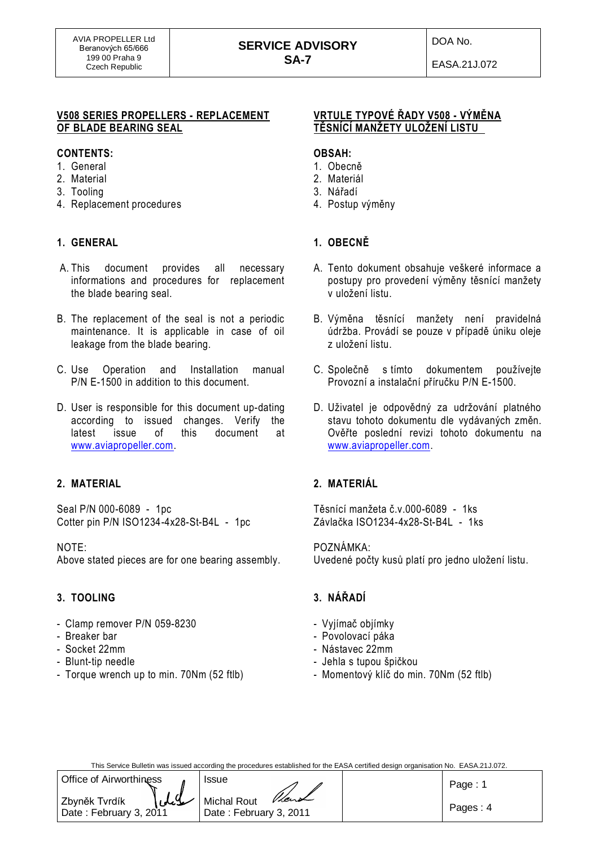## **SERVICE ADVISORY SA-7**

#### **V508 SERIES PROPELLERS - REPLACEMENT OF BLADE BEARING SEAL**

### **CONTENTS:**

- 1. General
- 2. Material
- 3. Tooling
- 4. Replacement procedures

## **1. GENERAL**

- A. This document provides all necessary informations and procedures for replacement the blade bearing seal.
- B. The replacement of the seal is not a periodic maintenance. It is applicable in case of oil leakage from the blade bearing.
- C. Use Operation and Installation manual P/N E-1500 in addition to this document.
- D. User is responsible for this document up-dating according to issued changes. Verify the latest issue of this document at [www.aviapropeller.com.](http://www.aviapropeller.com/)

## **2. MATERIAL**

Seal P/N 000-6089 - 1pc Cotter pin P/N ISO1234-4x28-St-B4L - 1pc

### NOTE:

Above stated pieces are for one bearing assembly.

## **3. TOOLING**

- Clamp remover P/N 059-8230
- Breaker bar
- Socket 22mm
- Blunt-tip needle
- Torque wrench up to min. 70Nm (52 ftlb)

## **VRTULE TYPOVÉ ŘADY V508 - VÝMĚNA TĚSNÍCÍ MANŽETY ULOŽENÍ LISTU**

### **OBSAH:**

- 1. Obecně
- 2. Materiál
- 3. Nářadí
- 4. Postup výměny

# **1. OBECNĚ**

- A. Tento dokument obsahuje veškeré informace a postupy pro provedení výměny těsnící manžety v uložení listu.
- B. Výměna těsnící manžety není pravidelná údržba. Provádí se pouze v případě úniku oleje z uložení listu.
- C. Společně s tímto dokumentem používejte Provozní a instalační příručku P/N E-1500.
- D. Uživatel je odpovědný za udržování platného stavu tohoto dokumentu dle vydávaných změn. Ověřte poslední revizi tohoto dokumentu na [www.aviapropeller.com.](http://www.aviapropeller.com/)

# **2. MATERIÁL**

Těsnící manžeta č.v.000-6089 - 1ks Závlačka ISO1234-4x28-St-B4L - 1ks

### POZNÁMKA:

Uvedené počty kusů platí pro jedno uložení listu.

## **3. NÁŘADÍ**

- Vyjímač objímky
- Povolovací páka
- Nástavec 22mm
- Jehla s tupou špičkou
- Momentový klíč do min. 70Nm (52 ftlb)

This Service Bulletin was issued according the procedures established for the EASA certified design organisation No. EASA.21J.072.

| Office of Airworthiness                 | Issue                                         | Page: 1  |
|-----------------------------------------|-----------------------------------------------|----------|
| Zbyněk Tvrdík<br>Date: February 3, 2011 | Vent<br>Michal Rout<br>Date: February 3, 2011 | Pages: 4 |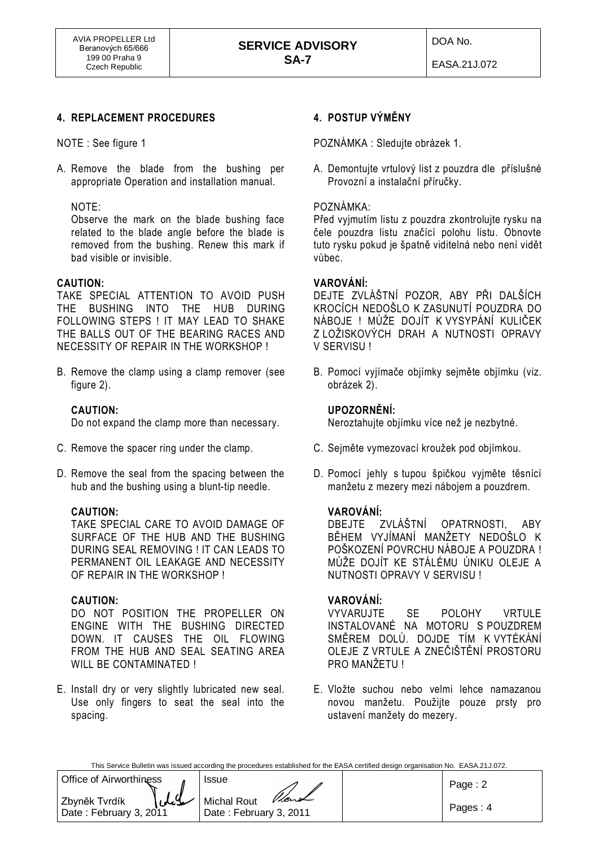## **4. REPLACEMENT PROCEDURES**

NOTE : See figure 1

A. Remove the blade from the bushing per appropriate Operation and installation manual.

NOTE:

Observe the mark on the blade bushing face related to the blade angle before the blade is removed from the bushing. Renew this mark if bad visible or invisible.

### **CAUTION:**

TAKE SPECIAL ATTENTION TO AVOID PUSH THE BUSHING INTO THE HUB DURING FOLLOWING STEPS ! IT MAY LEAD TO SHAKE THE BALLS OUT OF THE BEARING RACES AND NECESSITY OF REPAIR IN THE WORKSHOP !

B. Remove the clamp using a clamp remover (see figure 2).

## **CAUTION:**

Do not expand the clamp more than necessary.

- C. Remove the spacer ring under the clamp.
- D. Remove the seal from the spacing between the hub and the bushing using a blunt-tip needle.

### **CAUTION:**

TAKE SPECIAL CARE TO AVOID DAMAGE OF SURFACE OF THE HUB AND THE BUSHING DURING SEAL REMOVING ! IT CAN LEADS TO PERMANENT OIL LEAKAGE AND NECESSITY OF REPAIR IN THE WORKSHOP !

### **CAUTION:**

DO NOT POSITION THE PROPELLER ON ENGINE WITH THE BUSHING DIRECTED DOWN. IT CAUSES THE OIL FLOWING FROM THE HUB AND SEAL SEATING AREA WILL BE CONTAMINATED !

E. Install dry or very slightly lubricated new seal. Use only fingers to seat the seal into the spacing.

## **4. POSTUP VÝMĚNY**

POZNÁMKA : Sledujte obrázek 1.

A. Demontujte vrtulový list z pouzdra dle příslušné Provozní a instalační příručky.

### POZNÁMKA:

Před vyjmutím listu z pouzdra zkontrolujte rysku na čele pouzdra listu značící polohu listu. Obnovte tuto rysku pokud je špatně viditelná nebo není vidět vůbec.

### **VAROVÁNÍ:**

DEJTE ZVLÁŠTNÍ POZOR, ABY PŘI DALŠÍCH KROCÍCH NEDOŠLO K ZASUNUTÍ POUZDRA DO NÁBOJE ! MŮŽE DOJÍT K VYSYPÁNÍ KULIČEK Z LOŽISKOVÝCH DRAH A NUTNOSTI OPRAVY V SERVISU !

B. Pomocí vyjímače objímky sejměte objímku (viz. obrázek 2).

### **UPOZORNĚNÍ:**

Neroztahujte objímku více než je nezbytné.

- C. Sejměte vymezovací kroužek pod objímkou.
- D. Pomocí jehly s tupou špičkou vyjměte těsnící manžetu z mezery mezi nábojem a pouzdrem.

### **VAROVÁNÍ:**

DBEJTE ZVLÁŠTNÍ OPATRNOSTI, ABY BĚHEM VYJÍMANÍ MANŽETY NEDOŠLO K POŠKOZENÍ POVRCHU NÁBOJE A POUZDRA ! MŮŽE DOJÍT KE STÁLÉMU ÚNIKU OLEJE A NUTNOSTI OPRAVY V SERVISU !

### **VAROVÁNÍ:**

VYVARUJTE SE POLOHY VRTULE INSTALOVANÉ NA MOTORU S POUZDREM SMĚREM DOLŮ. DOJDE TÍM K VYTÉKÁNÍ OLEJE Z VRTULE A ZNEČIŠTĚNÍ PROSTORU PRO MANŽETU !

E. Vložte suchou nebo velmi lehce namazanou novou manžetu. Použijte pouze prsty pro ustavení manžety do mezery.

| This Service Bulletin was issued according the procedures established for the EASA certified design organisation No. EASA.21J.072. |  |
|------------------------------------------------------------------------------------------------------------------------------------|--|
|                                                                                                                                    |  |

| Office of Airworthiness                 | <b>Issue</b>                                   | Page: $2$ |
|-----------------------------------------|------------------------------------------------|-----------|
| Zbyněk Tvrdík<br>Date: February 3, 2011 | Vient<br>Michal Rout<br>Date: February 3, 2011 | Pages: 4  |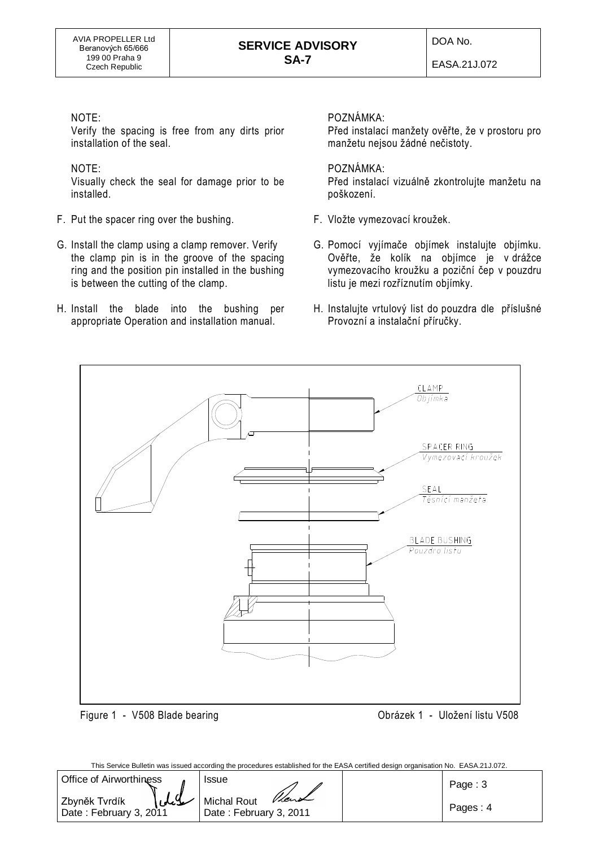DOA No.

EASA.21J.072

## NOTE:

Verify the spacing is free from any dirts prior installation of the seal.

## NOTE:

Visually check the seal for damage prior to be installed.

- F. Put the spacer ring over the bushing.
- G. Install the clamp using a clamp remover. Verify the clamp pin is in the groove of the spacing ring and the position pin installed in the bushing is between the cutting of the clamp.
- H. Install the blade into the bushing per appropriate Operation and installation manual.

## POZNÁMKA:

Před instalací manžety ověřte, že v prostoru pro manžetu nejsou žádné nečistoty.

## POZNÁMKA:

Před instalací vizuálně zkontrolujte manžetu na poškození.

- F. Vložte vymezovací kroužek.
- G. Pomocí vyjímače objímek instalujte objímku. Ověřte, že kolík na objímce je v drážce vymezovacího kroužku a poziční čep v pouzdru listu je mezi rozříznutím objímky.
- H. Instalujte vrtulový list do pouzdra dle příslušné Provozní a instalační příručky.



This Service Bulletin was issued according the procedures established for the EASA certified design organisation No. EASA.21J.072.